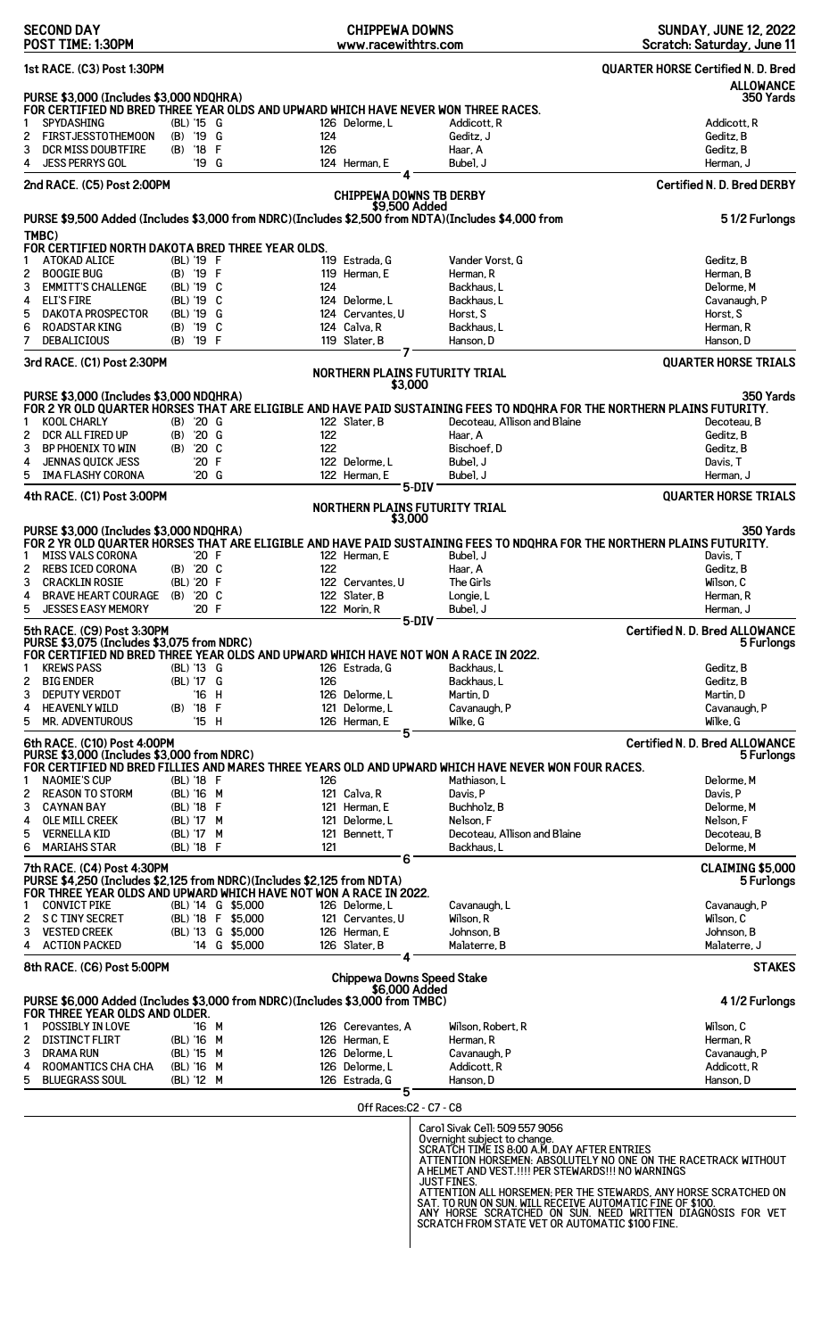| <b>SECOND DAY</b><br>POST TIME: 1:30PM                                                                                                                          |                                     | <b>CHIPPEWA DOWNS</b><br>www.racewithtrs.com |                                                                                                     | <b>SUNDAY, JUNE 12, 2022</b><br>Scratch: Saturday, June 11                                                                                       |
|-----------------------------------------------------------------------------------------------------------------------------------------------------------------|-------------------------------------|----------------------------------------------|-----------------------------------------------------------------------------------------------------|--------------------------------------------------------------------------------------------------------------------------------------------------|
| 1st RACE. (C3) Post 1:30PM                                                                                                                                      |                                     |                                              |                                                                                                     | <b>QUARTER HORSE Certified N. D. Bred</b><br><b>ALLOWANCE</b>                                                                                    |
| PURSE \$3,000 (Includes \$3,000 NDQHRA)                                                                                                                         |                                     |                                              |                                                                                                     | 350 Yards                                                                                                                                        |
| FOR CERTIFIED ND BRED THREE YEAR OLDS AND UPWARD WHICH HAVE NEVER WON THREE RACES.<br><b>SPYDASHING</b><br>1                                                    | (BL) '15 G                          | 126 Delorme.L                                | Addicott.R                                                                                          | Addicott, R                                                                                                                                      |
| <b>FIRSTJESSTOTHEMOON</b><br>2                                                                                                                                  | '19 G<br>(B)                        | 124                                          | Geditz, J                                                                                           | Geditz, B                                                                                                                                        |
| DCR MISS DOUBTFIRE<br>3<br><b>JESS PERRYS GOL</b><br>4                                                                                                          | '18<br>-F<br>(B)<br>'19 G           | 126<br>124 Herman, E                         | Haar, A<br>Bubel. J                                                                                 | Geditz, B<br>Herman, J                                                                                                                           |
|                                                                                                                                                                 |                                     |                                              |                                                                                                     |                                                                                                                                                  |
| 2nd RACE. (C5) Post 2:00PM                                                                                                                                      |                                     | <b>CHIPPEWA DOWNS TB DERBY</b>               |                                                                                                     | <b>Certified N. D. Bred DERBY</b>                                                                                                                |
|                                                                                                                                                                 |                                     | \$9,500 Added                                | PURSE \$9,500 Added (Includes \$3,000 from NDRC)(Includes \$2,500 from NDTA)(Includes \$4,000 from  | 51/2 Furlongs                                                                                                                                    |
| TMBC)<br>FOR CERTIFIED NORTH DAKOTA BRED THREE YEAR OLDS.                                                                                                       |                                     |                                              |                                                                                                     |                                                                                                                                                  |
| <b>ATOKAD ALICE</b><br>1                                                                                                                                        | (BL) '19 F                          | 119 Estrada, G                               | Vander Vorst, G                                                                                     | Geditz, B                                                                                                                                        |
| <b>BOOGIE BUG</b><br>2                                                                                                                                          | (B) '19 F                           | 119 Herman, E<br>124                         | Herman, R                                                                                           | Herman, B<br>Delorme.M                                                                                                                           |
| 3<br><b>EMMITT'S CHALLENGE</b><br><b>ELI'S FIRE</b><br>4                                                                                                        | (BL) '19 C<br>(BL) '19 C            | 124 Delorme, L                               | Backhaus, L<br>Backhaus, L                                                                          | Cavanaugh, P                                                                                                                                     |
| 5<br><b>DAKOTA PROSPECTOR</b>                                                                                                                                   | (BL) '19 G                          | 124 Cervantes, U                             | Horst, S                                                                                            | Horst, S                                                                                                                                         |
| 6<br><b>ROADSTAR KING</b>                                                                                                                                       | '19 C<br>(B)                        | 124 Calva, R                                 | Backhaus, L                                                                                         | Herman, R                                                                                                                                        |
| 7<br><b>DEBALICIOUS</b>                                                                                                                                         | $(B)$ '19 F                         | 119 Slater, B                                | Hanson. D                                                                                           | Hanson, D                                                                                                                                        |
| 3rd RACE. (C1) Post 2:30PM                                                                                                                                      |                                     | <b>NORTHERN PLAINS FUTURITY TRIAL</b>        |                                                                                                     | <b>QUARTER HORSE TRIALS</b>                                                                                                                      |
| PURSE \$3,000 (Includes \$3,000 NDQHRA)                                                                                                                         |                                     | \$3,000                                      |                                                                                                     | 350 Yards                                                                                                                                        |
|                                                                                                                                                                 |                                     |                                              |                                                                                                     | FOR 2 YR OLD QUARTER HORSES THAT ARE ELIGIBLE AND HAVE PAID SUSTAINING FEES TO NDQHRA FOR THE NORTHERN PLAINS FUTURITY.                          |
| <b>KOOL CHARLY</b><br>1                                                                                                                                         | $(B)$ '20 G                         | 122 Slater, B                                | Decoteau, Allison and Blaine                                                                        | Decoteau, B                                                                                                                                      |
| 2<br>DCR ALL FIRED UP<br>3<br>BP PHOENIX TO WIN                                                                                                                 | '20 G<br>(B)<br>'20 C<br>(B)        | 122<br>122                                   | Haar, A<br>Bischoef, D                                                                              | Geditz, B<br>Geditz, B                                                                                                                           |
| <b>JENNAS QUICK JESS</b><br>4                                                                                                                                   | '20 F                               | 122 Delorme.L                                | Bubel, J                                                                                            | Davis, T                                                                                                                                         |
| 5<br><b>IMA FLASHY CORONA</b>                                                                                                                                   | '20 G                               | 122 Herman, E                                | Bubel. J                                                                                            | Herman, J                                                                                                                                        |
| 4th RACE. (C1) Post 3:00PM                                                                                                                                      |                                     |                                              | 5-DIV                                                                                               | <b>QUARTER HORSE TRIALS</b>                                                                                                                      |
|                                                                                                                                                                 |                                     | NORTHERN PLAINS FUTURITY TRIAL<br>\$3,000    |                                                                                                     |                                                                                                                                                  |
| PURSE \$3,000 (Includes \$3,000 NDQHRA)<br><b>MISS VALS CORONA</b><br>1                                                                                         | '20 F                               | 122 Herman, E                                | Bubel, J                                                                                            | 350 Yards<br>FOR 2 YR OLD QUARTER HORSES THAT ARE ELIGIBLE AND HAVE PAID SUSTAINING FEES TO NDQHRA FOR THE NORTHERN PLAINS FUTURITY.<br>Davis, T |
| <b>REBS ICED CORONA</b><br>2                                                                                                                                    | (B) '20 C                           | 122                                          | Haar, A                                                                                             | Geditz, B                                                                                                                                        |
| 3<br><b>CRACKLIN ROSIE</b>                                                                                                                                      | (BL) '20 F                          | 122 Cervantes, U                             | The Girls                                                                                           | Wilson, C                                                                                                                                        |
| <b>BRAVE HEART COURAGE</b><br>4                                                                                                                                 | (B) '20 C                           | 122 Slater. B                                | Longie, L                                                                                           | Herman, R                                                                                                                                        |
| <b>JESSES EASY MEMORY</b>                                                                                                                                       | '20 F                               | 122 Morin, R                                 | Bubel, J<br>5-DIV                                                                                   | Herman, J                                                                                                                                        |
| 5th RACE. (C9) Post 3:30PM<br>PURSE \$3,075 (Includes \$3,075 from NDRC)<br>FOR CERTIFIED ND BRED THREE YEAR OLDS AND UPWARD WHICH HAVE NOT WON A RACE IN 2022. |                                     |                                              |                                                                                                     | <b>Certified N. D. Bred ALLOWANCE</b><br>5 Furlongs                                                                                              |
| <b>KREWS PASS</b><br>1                                                                                                                                          | (BL) '13 G                          | 126 Estrada, G                               | Backhaus, L                                                                                         | Geditz, B                                                                                                                                        |
| 2<br><b>BIG ENDER</b>                                                                                                                                           | (BL) '17 G                          | 126                                          | Backhaus, L                                                                                         | Geditz, B                                                                                                                                        |
| 3<br><b>DEPUTY VERDOT</b>                                                                                                                                       | '16 H                               | 126 Delorme, L                               | Martin, D                                                                                           | Martin, D                                                                                                                                        |
| <b>HEAVENLY WILD</b><br>4<br>5<br><b>MR. ADVENTUROUS</b>                                                                                                        | $'18$ F<br>(B)<br>'15 H             | 121 Delorme.L<br>126 Herman, E               | Cavanaugh, P<br>Wilke, G                                                                            | Cavanaugh, P<br>Wilke, G                                                                                                                         |
| 6th RACE. (C10) Post 4:00PM                                                                                                                                     |                                     | 5                                            |                                                                                                     | <b>Certified N. D. Bred ALLOWANCE</b>                                                                                                            |
| PURSE \$3,000 (Includes \$3,000 from NDRC)                                                                                                                      |                                     |                                              |                                                                                                     | 5 Furlongs                                                                                                                                       |
|                                                                                                                                                                 |                                     |                                              | FOR CERTIFIED ND BRED FILLIES AND MARES THREE YEARS OLD AND UPWARD WHICH HAVE NEVER WON FOUR RACES. |                                                                                                                                                  |
| <b>NAOMIE'S CUP</b><br>1<br>2<br><b>REASON TO STORM</b>                                                                                                         | (BL) '18 F<br>(BL) '16 M            | 126<br>121 Calva, R                          | Mathiason, L<br>Davis, P                                                                            | Delorme.M<br>Davis, P                                                                                                                            |
| 3<br><b>CAYNAN BAY</b>                                                                                                                                          | (BL) '18 F                          | 121 Herman, E                                | Buchholz, B                                                                                         | Delorme, M                                                                                                                                       |
| <b>OLE MILL CREEK</b><br>4                                                                                                                                      | (BL) '17 M                          | 121 Delorme, L                               | Nelson, F                                                                                           | Nelson, F                                                                                                                                        |
| 5<br><b>VERNELLA KID</b>                                                                                                                                        | (BL) '17 M                          | 121 Bennett, T                               | Decoteau, Allison and Blaine                                                                        | Decoteau, B                                                                                                                                      |
| 6<br><b>MARIAHS STAR</b>                                                                                                                                        | (BL) '18 F                          | 121<br>6                                     | Backhaus, L                                                                                         | Delorme, M                                                                                                                                       |
| 7th RACE. (C4) Post 4:30PM<br>PURSE \$4,250 (Includes \$2,125 from NDRC)(Includes \$2,125 from NDTA)                                                            |                                     |                                              |                                                                                                     | CLAIMING \$5,000                                                                                                                                 |
| FOR THREE YEAR OLDS AND UPWARD WHICH HAVE NOT WON A RACE IN 2022.                                                                                               |                                     |                                              |                                                                                                     | 5 Furlongs                                                                                                                                       |
| <b>CONVICT PIKE</b><br>1                                                                                                                                        | (BL) '14 G \$5,000                  | 126 Delorme, L                               | Cavanaugh, L                                                                                        | Cavanaugh, P                                                                                                                                     |
| <b>SC TINY SECRET</b><br>2                                                                                                                                      | (BL) '18 F \$5,000                  | 121 Cervantes, U                             | Wilson, R                                                                                           | Wilson, C                                                                                                                                        |
| 3<br><b>VESTED CREEK</b><br><b>ACTION PACKED</b><br>4                                                                                                           | (BL) '13 G \$5,000<br>'14 G \$5,000 | 126 Herman, E<br>126 Slater, B               | Johnson, B<br>Malaterre, B                                                                          | Johnson, B<br>Malaterre, J                                                                                                                       |
| 8th RACE. (C6) Post 5:00PM                                                                                                                                      |                                     |                                              |                                                                                                     | <b>STAKES</b>                                                                                                                                    |
|                                                                                                                                                                 |                                     | <b>Chippewa Downs Speed Stake</b>            |                                                                                                     |                                                                                                                                                  |
| PURSE \$6,000 Added (Includes \$3,000 from NDRC) (Includes \$3,000 from TMBC)                                                                                   |                                     | \$6,000 Added                                |                                                                                                     | 41/2 Furlongs                                                                                                                                    |
| FOR THREE YEAR OLDS AND OLDER.                                                                                                                                  |                                     |                                              |                                                                                                     |                                                                                                                                                  |
| POSSIBLY IN LOVE<br>1                                                                                                                                           | '16 M                               | 126 Cerevantes, A<br>126 Herman, E           | Wilson, Robert, R<br>Herman, R                                                                      | Wilson, C<br>Herman, R                                                                                                                           |
| <b>DISTINCT FLIRT</b><br>2<br>3<br><b>DRAMA RUN</b>                                                                                                             | (BL) '16 M<br>(BL) '15 M            | 126 Delorme, L                               | Cavanaugh, P                                                                                        | Cavanaugh, P                                                                                                                                     |
| ROOMANTICS CHA CHA<br>4                                                                                                                                         | (BL) '16 M                          | 126 Delorme.L                                | Addicott, R                                                                                         | Addicott, R                                                                                                                                      |
| 5<br><b>BLUEGRASS SOUL</b>                                                                                                                                      | (BL) '12 M                          | 126 Estrada, G<br>5                          | Hanson. D                                                                                           | Hanson, D                                                                                                                                        |
|                                                                                                                                                                 |                                     | Off Races:C2 - C7 - C8                       |                                                                                                     |                                                                                                                                                  |
|                                                                                                                                                                 |                                     |                                              | Carol Sivak Cell: 509 557 9056                                                                      |                                                                                                                                                  |
|                                                                                                                                                                 |                                     |                                              | Overnight subject to change.<br>SCRATCH TIME IS 8:00 A.M. DAY AFTER ENTRIES                         |                                                                                                                                                  |
|                                                                                                                                                                 |                                     |                                              |                                                                                                     | ATTENTION HORSEMEN: ABSOLUTELY NO ONE ON THE RACETRACK WITHOUT                                                                                   |
|                                                                                                                                                                 |                                     |                                              | A HELMET AND VEST. !!!! PER STEWARDS!!! NO WARNINGS<br><b>JUST FINES.</b>                           |                                                                                                                                                  |
|                                                                                                                                                                 |                                     |                                              |                                                                                                     | ATTENTION ALL HORSEMEN; PER THE STEWARDS, ANY HORSE SCRATCHED ON                                                                                 |
|                                                                                                                                                                 |                                     |                                              | SAT. TO RUN ON SUN. WILL RECEIVE AUTOMATIC FINE OF \$100.                                           |                                                                                                                                                  |
|                                                                                                                                                                 |                                     |                                              |                                                                                                     | ANY HORSE SCRATCHED ON SUN. NEED WRITTEN DIAGNOSIS FOR VET SCRATCH FROM STATE VET OR AUTOMATIC \$100 FINE.                                       |
|                                                                                                                                                                 |                                     |                                              |                                                                                                     |                                                                                                                                                  |
|                                                                                                                                                                 |                                     |                                              |                                                                                                     |                                                                                                                                                  |
|                                                                                                                                                                 |                                     |                                              |                                                                                                     |                                                                                                                                                  |